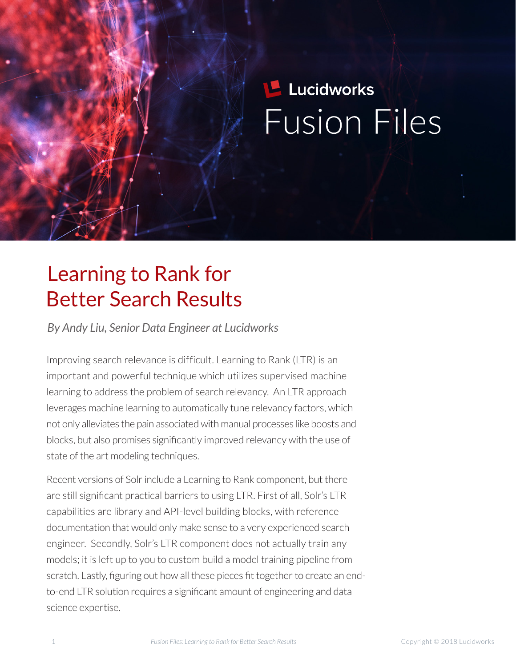# **Lucidworks Fusion Files**

## Learning to Rank for Better Search Results

*By Andy Liu, Senior Data Engineer at Lucidworks*

Improving search relevance is difficult. Learning to Rank (LTR) is an important and powerful technique which utilizes supervised machine learning to address the problem of search relevancy. An LTR approach leverages machine learning to automatically tune relevancy factors, which not only alleviates the pain associated with manual processes like boosts and blocks, but also promises signifcantly improved relevancy with the use of state of the art modeling techniques.

Recent versions of Solr include a Learning to Rank component, but there are still signifcant practical barriers to using LTR. First of all, Solr's LTR capabilities are library and API-level building blocks, with reference documentation that would only make sense to a very experienced search engineer. Secondly, Solr's LTR component does not actually train any models; it is left up to you to custom build a model training pipeline from scratch. Lastly, fguring out how all these pieces ft together to create an endto-end LTR solution requires a signifcant amount of engineering and data science expertise.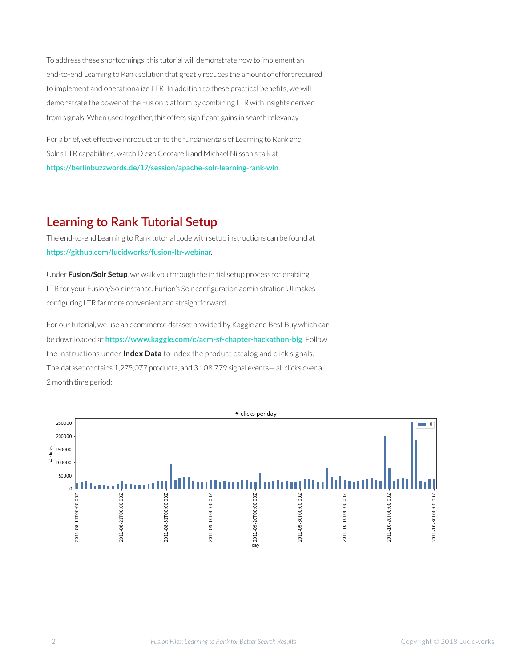To address these shortcomings, this tutorial will demonstrate how to implement an end-to-end Learning to Rank solution that greatly reduces the amount of effort required to implement and operationalize LTR. In addition to these practical benefts, we will demonstrate the power of the Fusion platform by combining LTR with insights derived from signals. When used together, this offers signifcant gains in search relevancy.

For a brief, yet effective introduction to the fundamentals of Learning to Rank and Solr's LTR capabilities, watch Diego Ceccarelli and Michael Nilsson's talk at **[htps://berlinbuzzwords.de/17/session/apache-solr-learning-rank-win](https://berlinbuzzwords.de/17/session/apache-solr-learning-rank-win)**.

### **Learning to Rank Tutorial Setup**

The end-to-end Learning to Rank tutorial code with setup instructions can be found at **[htps://github.com/lucidworks/fusion-ltr-webinar](https://github.com/lucidworks/fusion-ltr-webinar)**.

Under **Fusion/Solr Setup**, we walk you through the initial setup process for enabling LTR for your Fusion/Solr instance. Fusion's Solr confguration administration UI makes confguring LTR far more convenient and straightforward.

For our tutorial, we use an ecommerce dataset provided by Kaggle and Best Buy which can be downloaded at **[htps://www.kaggle.com/c/acm-sf-chapter-hackathon-big](https://www.kaggle.com/c/acm-sf-chapter-hackathon-big)**. Follow the instructions under **Index Data** to index the product catalog and click signals. The dataset contains 1,275,077 products, and 3,108,779 signal events— all clicks over a 2 month time period:

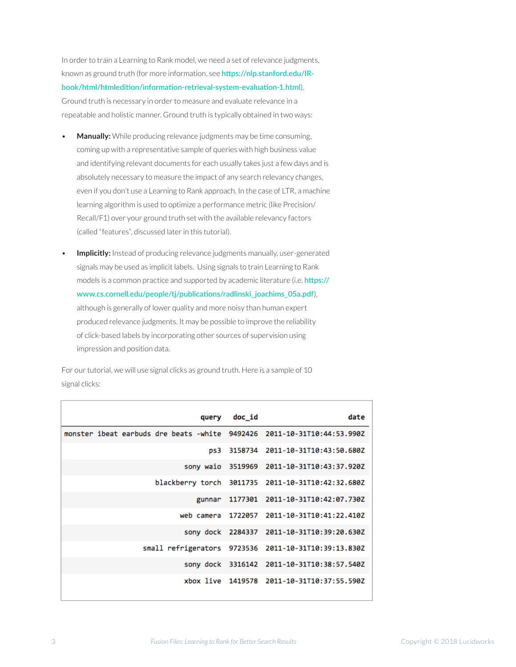In order to train a Learning to Rank model, we need a set of relevance judgments, known as ground truth (for more information, see **[htps://nlp.stanford.edu/IR](https://nlp.stanford.edu/IR-book/html/htmledition/information-retrieval-system-evaluation-1.html)**book/html/htmledition/information-retrieval-system-evaluation-1.html). Ground truth is necessary in order to measure and evaluate relevance in a repeatable and holistic manner. Ground truth is typically obtained in two ways:

- **Manually:** While producing relevance judgments may be time consuming, coming up with a representative sample of queries with high business value and identifying relevant documents for each usually takes just a few days and is absolutely necessary to measure the impact of any search relevancy changes, even if you don't use a Learning to Rank approach. In the case of LTR, a machine learning algorithm is used to optimize a performance metric (like Precision/ Recall/F1) over your ground truth set with the available relevancy factors (called "features", discussed later in this tutorial).
- **Implicitly:** Instead of producing relevance judgments manually, user-generated signals may be used as implicit labels. Using signals to train Learning to Rank models is a common practice and supported by academic literature (i.e. **[htps://](https://www.cs.cornell.edu/people/tj/publications/radlinski_joachims_05a.pdf) [www.cs.cornell.edu/people/tj/publicatons/radlinski\\_joachims\\_05a.pdf](https://www.cs.cornell.edu/people/tj/publications/radlinski_joachims_05a.pdf)**), although is generally of lower quality and more noisy than human expert produced relevance judgments. It may be possible to improve the reliability of click-based labels by incorporating other sources of supervision using impression and position data.

For our tutorial, we will use signal clicks as ground truth. Here is a sample of 10 signal clicks:

|                                                                         | query     | doc_id | date                                                 |
|-------------------------------------------------------------------------|-----------|--------|------------------------------------------------------|
| monster ibeat earbuds dre beats -white 9492426 2011-10-31T10:44:53.990Z |           |        |                                                      |
|                                                                         |           |        | ps3 3158734 2011-10-31T10:43:50.680Z                 |
|                                                                         |           |        | sony waio 3519969 2011-10-31T10:43:37.920Z           |
|                                                                         |           |        | blackberry torch 3011735 2011-10-31T10:42:32.680Z    |
|                                                                         | gunnar    |        | 1177301 2011-10-31T10:42:07.730Z                     |
|                                                                         |           |        | web camera 1722057 2011-10-31T10:41:22.410Z          |
|                                                                         |           |        | sony dock 2284337 2011-10-31T10:39:20.630Z           |
|                                                                         |           |        | small refrigerators 9723536 2011-10-31T10:39:13.830Z |
|                                                                         | sony dock |        | 3316142 2011-10-31T10:38:57.540Z                     |
|                                                                         |           |        | xbox live 1419578 2011-10-31T10:37:55.590Z           |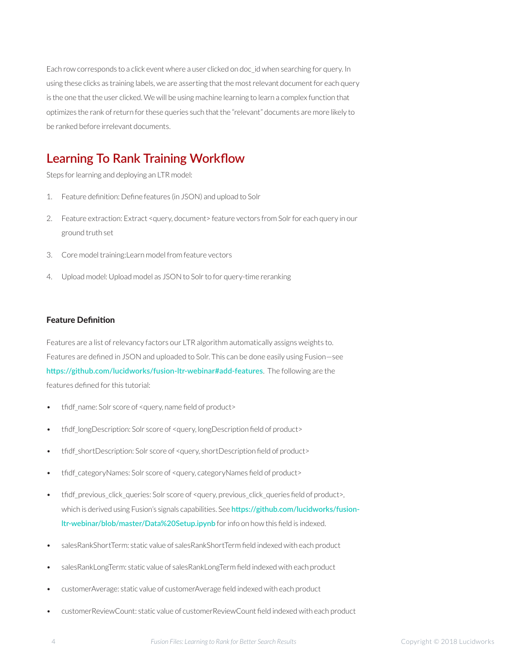Each row corresponds to a click event where a user clicked on doc\_id when searching for query. In using these clicks as training labels, we are asserting that the most relevant document for each query is the one that the user clicked. We will be using machine learning to learn a complex function that optimizes the rank of return for these queries such that the "relevant" documents are more likely to be ranked before irrelevant documents.

## **Learning To Rank Training Workfow**

Steps for learning and deploying an LTR model:

- 1. Feature defnition: Defne features (in JSON) and upload to Solr
- 2. Feature extraction: Extract <query, document> feature vectors from Solr for each query in our ground truth set
- 3. Core model training:Learn model from feature vectors
- 4. Upload model: Upload model as JSON to Solr to for query-time reranking

#### **Feature Definition**

Features are a list of relevancy factors our LTR algorithm automatically assigns weights to. Features are defned in JSON and uploaded to Solr. This can be done easily using Fusion—see **[htps://github.com/lucidworks/fusion-ltr-webinar#add-features](https://github.com/lucidworks/fusion-ltr-webinar#add-features)**. The following are the features defned for this tutorial:

- tfdf\_name: Solr score of <query, name feld of product>
- tfdf\_longDescription: Solr score of <query, longDescription feld of product>
- tfidf shortDescription: Solr score of <query, shortDescription field of product>
- tfdf\_categoryNames: Solr score of <query, categoryNames feld of product>
- tfdf\_previous\_click\_queries: Solr score of <query, previous\_click\_queries feld of product>, which is derived using Fusion's signals capabilities. See **[htps://github.com/lucidworks/fusion](https://github.com/lucidworks/fusion-ltr-webinar/blob/master/Data%20Setup.ipynb)[ltr-webinar/blob/master/Data%20Setup.ipynb](https://github.com/lucidworks/fusion-ltr-webinar/blob/master/Data%20Setup.ipynb)** for info on how this feld is indexed.
- salesRankShortTerm: static value of salesRankShortTerm feld indexed with each product
- salesRankLongTerm: static value of salesRankLongTerm feld indexed with each product
- customerAverage: static value of customerAverage feld indexed with each product
- customerReviewCount: static value of customerReviewCount feld indexed with each product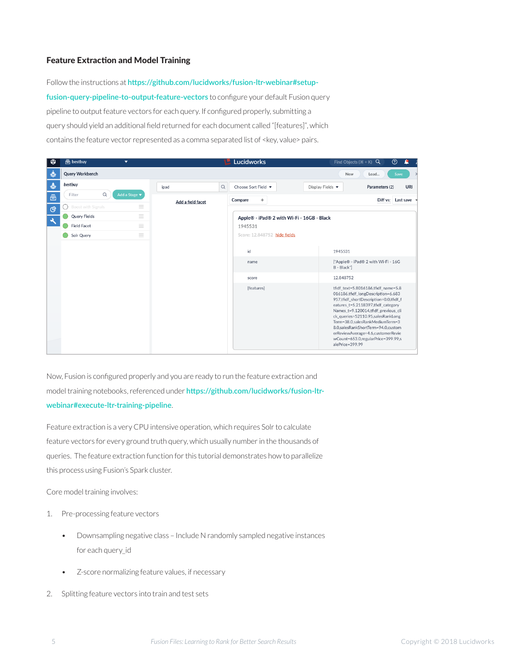#### **Feature Extraction and Model Training**

Follow the instructions at https://github.com/lucidworks/fusion-ltr-webinar#setup**[fusion-query-pipeline-to-output-feature-vectors](https://github.com/lucidworks/fusion-ltr-webinar#setup-fusion-query-pipeline-to-output-feature-vectors)** to confgure your default Fusion query pipeline to output feature vectors for each query. If confgured properly, submitting a query should yield an additional feld returned for each document called "[features]", which contains the feature vector represented as a comma separated list of <key, value> pairs.

|                          | <b>高</b> bestbuy<br>▼          |                   | <b>Lucidworks</b>                                     | $^{\circledR}$<br>Find Objects $(\Re + K)$ Q<br>А                                                                                                                                                                                                                                                                                                                                                                 |  |
|--------------------------|--------------------------------|-------------------|-------------------------------------------------------|-------------------------------------------------------------------------------------------------------------------------------------------------------------------------------------------------------------------------------------------------------------------------------------------------------------------------------------------------------------------------------------------------------------------|--|
| 参                        | Query Workbench                |                   |                                                       | Save<br>New<br>Load                                                                                                                                                                                                                                                                                                                                                                                               |  |
| $\clubsuit$              | bestbuy                        | $\alpha$<br>ipad  | Choose Sort Field v                                   | <b>URI</b><br>Parameters (2)<br>Display Fields v                                                                                                                                                                                                                                                                                                                                                                  |  |
| â                        | Q<br>Add a Stage ▼<br>Filter   | Add a field facet | $\! + \!\!\!\!$<br>Compare                            | Diff vs:<br>Last save                                                                                                                                                                                                                                                                                                                                                                                             |  |
| ල                        | $\equiv$<br>Boost with Signals |                   |                                                       |                                                                                                                                                                                                                                                                                                                                                                                                                   |  |
| $\overline{\mathcal{A}}$ | $\equiv$<br>Query Fields       |                   | Apple® - iPad® 2 with Wi-Fi - 16GB - Black<br>1945531 |                                                                                                                                                                                                                                                                                                                                                                                                                   |  |
|                          | $\equiv$<br><b>Field Facet</b> |                   |                                                       |                                                                                                                                                                                                                                                                                                                                                                                                                   |  |
|                          | $\equiv$<br>Solr Query         |                   | Score: 12.848752 hide fields                          |                                                                                                                                                                                                                                                                                                                                                                                                                   |  |
|                          |                                |                   |                                                       |                                                                                                                                                                                                                                                                                                                                                                                                                   |  |
|                          |                                |                   | id                                                    | 1945531                                                                                                                                                                                                                                                                                                                                                                                                           |  |
|                          |                                |                   | name                                                  | ["Apple® - iPad® 2 with Wi-Fi - 16G<br>B - Black"]                                                                                                                                                                                                                                                                                                                                                                |  |
|                          |                                |                   | score                                                 | 12.848752                                                                                                                                                                                                                                                                                                                                                                                                         |  |
|                          |                                |                   | [features]                                            | tfidf text=5.8016186,tfidf name=5.8<br>016186,tfidf longDescription=6.683<br>957,thdf_shortDescription=0.0,thdf_f<br>eatures_t=5.2118397,tfidf_category<br>Names_t=9.120014,tfidf_previous_cli<br>ck_queries=52110.95,salesRankLong<br>Term=38.0,salesRankMediumTerm=3<br>8.0, sales Rank Short Term=94.0, custom<br>erReviewAverage=4.6,customerRevie<br>wCount=653.0, regularPrice=399.99, s<br>alePrice=399.99 |  |

Now, Fusion is confgured properly and you are ready to run the feature extraction and model training notebooks, referenced under **[htps://github.com/lucidworks/fusion-ltr](https://github.com/lucidworks/fusion-ltr-webinar#execute-ltr-training-pipeline)[webinar#execute-ltr-training-pipeline](https://github.com/lucidworks/fusion-ltr-webinar#execute-ltr-training-pipeline)**.

Feature extraction is a very CPU intensive operation, which requires Solr to calculate feature vectors for every ground truth query, which usually number in the thousands of queries. The feature extraction function for this tutorial demonstrates how to parallelize this process using Fusion's Spark cluster.

Core model training involves:

- 1. Pre-processing feature vectors
	- Downsampling negative class Include N randomly sampled negative instances for each query\_id
	- Z-score normalizing feature values, if necessary
- 2. Splitting feature vectors into train and test sets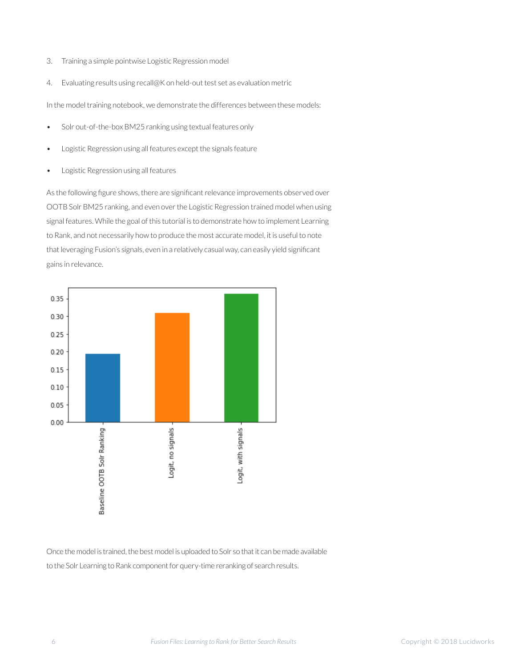- 3. Training a simple pointwise Logistic Regression model
- 4. Evaluating results using recall@K on held-out test set as evaluation metric

In the model training notebook, we demonstrate the differences between these models:

- Solr out-of-the-box BM25 ranking using textual features only
- Logistic Regression using all features except the signals feature
- Logistic Regression using all features

As the following fgure shows, there are signifcant relevance improvements observed over OOTB Solr BM25 ranking, and even over the Logistic Regression trained model when using signal features. While the goal of this tutorial is to demonstrate how to implement Learning to Rank, and not necessarily how to produce the most accurate model, it is useful to note that leveraging Fusion's signals, even in a relatively casual way, can easily yield signifcant gains in relevance.



Once the model is trained, the best model is uploaded to Solr so that it can be made available to the Solr Learning to Rank component for query-time reranking of search results.